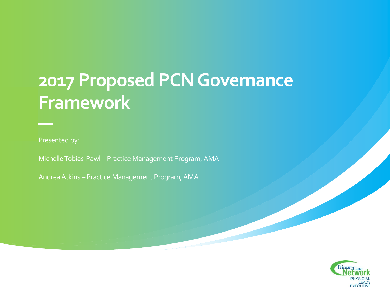### **2017 Proposed PCN Governance Framework**

Presented by:

Michelle Tobias-Pawl – Practice Management Program, AMA

Andrea Atkins – Practice Management Program, AMA

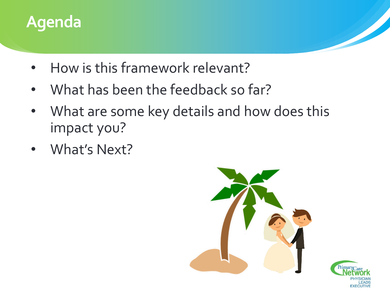

- How is this framework relevant?
- What has been the feedback so far?
- What are some key details and how does this impact you?
- What's Next?

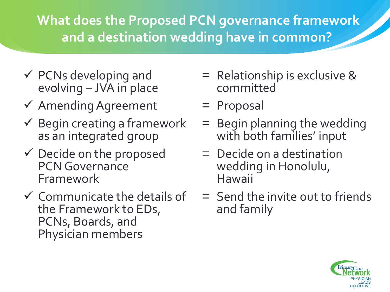**What does the Proposed PCN governance framework and a destination wedding have in common?**

- $\checkmark$  PCNs developing and evolving – JVA in place
- $\checkmark$  Amending Agreement
- $\checkmark$  Begin creating a framework as an integrated group
- $\checkmark$  Decide on the proposed PCN Governance Framework
- $\checkmark$  Communicate the details of the Framework to EDs, PCNs, Boards, and Physician members
- = Relationship is exclusive & committed
- = Proposal
- = Begin planning the wedding with both families' input
- = Decide on a destination wedding in Honolulu, Hawaii
- = Send the invite out to friends and family

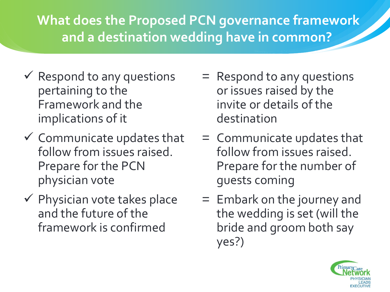#### **What does the Proposed PCN governance framework and a destination wedding have in common?**

- $\checkmark$  Respond to any questions pertaining to the Framework and the implications of it
- $\checkmark$  Communicate updates that follow from issues raised. Prepare for the PCN physician vote
- $\checkmark$  Physician vote takes place and the future of the framework is confirmed
- = Respond to any questions or issues raised by the invite or details of the destination
- = Communicate updates that follow from issues raised. Prepare for the number of guests coming
- = Embark on the journey and the wedding is set (will the bride and groom both say yes?)

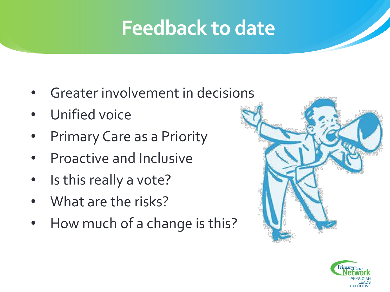# **Feedback to date**

- Greater involvement in decisions
- Unified voice
- Primary Care as a Priority
- Proactive and Inclusive
- Is this really a vote?
- What are the risks?
- How much of a change is this?



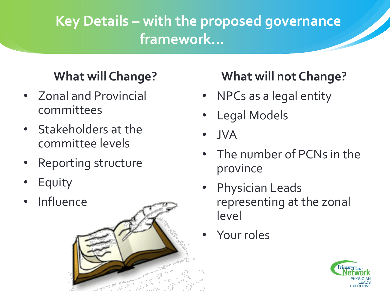### **Key Details – with the proposed governance framework…**

#### **What will Change?**

- Zonal and Provincial committees
- Stakeholders at the committee levels
- Reporting structure
- **Equity**
- **Influence**



#### **What will not Change?**

- NPCs as a legal entity
- Legal Models
- JVA
- The number of PCNs in the province
- Physician Leads representing at the zonal level
- Your roles

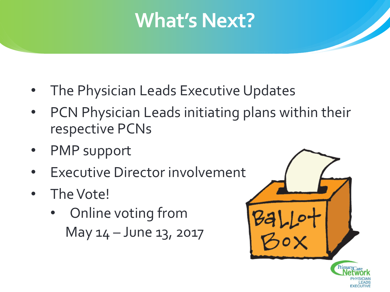## **What's Next?**

- The Physician Leads Executive Updates
- PCN Physician Leads initiating plans within their respective PCNs
- PMP support
- **Executive Director involvement**
- The Vote!
	- Online voting from May 14 – June 13, 2017